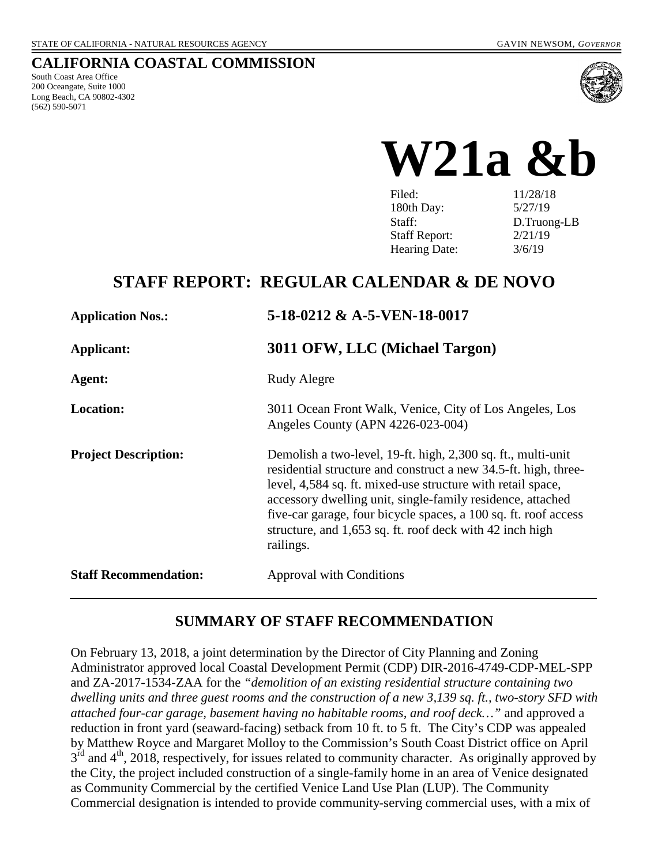#### **CALIFORNIA COASTAL COMMISSION**

South Coast Area Office 200 Oceangate, Suite 1000 Long Beach, CA 90802-4302 (562) 590-5071



**W21a &b** 

| Filed:               | 11/28/18    |
|----------------------|-------------|
| 180th Day:           | 5/27/19     |
| Staff:               | D.Truong-LB |
| <b>Staff Report:</b> | 2/21/19     |
| Hearing Date:        | 3/6/19      |

## **STAFF REPORT: REGULAR CALENDAR & DE NOVO**

| <b>Application Nos.:</b>     | 5-18-0212 & A-5-VEN-18-0017                                                                                                                                                                                                                                                                                                                                                                              |  |
|------------------------------|----------------------------------------------------------------------------------------------------------------------------------------------------------------------------------------------------------------------------------------------------------------------------------------------------------------------------------------------------------------------------------------------------------|--|
| Applicant:                   | 3011 OFW, LLC (Michael Targon)                                                                                                                                                                                                                                                                                                                                                                           |  |
| Agent:                       | Rudy Alegre                                                                                                                                                                                                                                                                                                                                                                                              |  |
| <b>Location:</b>             | 3011 Ocean Front Walk, Venice, City of Los Angeles, Los<br>Angeles County (APN 4226-023-004)                                                                                                                                                                                                                                                                                                             |  |
| <b>Project Description:</b>  | Demolish a two-level, 19-ft. high, 2,300 sq. ft., multi-unit<br>residential structure and construct a new 34.5-ft. high, three-<br>level, 4,584 sq. ft. mixed-use structure with retail space,<br>accessory dwelling unit, single-family residence, attached<br>five-car garage, four bicycle spaces, a 100 sq. ft. roof access<br>structure, and 1,653 sq. ft. roof deck with 42 inch high<br>railings. |  |
| <b>Staff Recommendation:</b> | <b>Approval with Conditions</b>                                                                                                                                                                                                                                                                                                                                                                          |  |

### **SUMMARY OF STAFF RECOMMENDATION**

On February 13, 2018, a joint determination by the Director of City Planning and Zoning Administrator approved local Coastal Development Permit (CDP) DIR-2016-4749-CDP-MEL-SPP and ZA-2017-1534-ZAA for the *"demolition of an existing residential structure containing two dwelling units and three guest rooms and the construction of a new 3,139 sq. ft., two-story SFD with attached four-car garage, basement having no habitable rooms, and roof deck…"* and approved a reduction in front yard (seaward-facing) setback from 10 ft. to 5 ft. The City's CDP was appealed by Matthew Royce and Margaret Molloy to the Commission's South Coast District office on April  $3<sup>rd</sup>$  and  $4<sup>th</sup>$ , 2018, respectively, for issues related to community character. As originally approved by the City, the project included construction of a single-family home in an area of Venice designated as Community Commercial by the certified Venice Land Use Plan (LUP). The Community Commercial designation is intended to provide community-serving commercial uses, with a mix of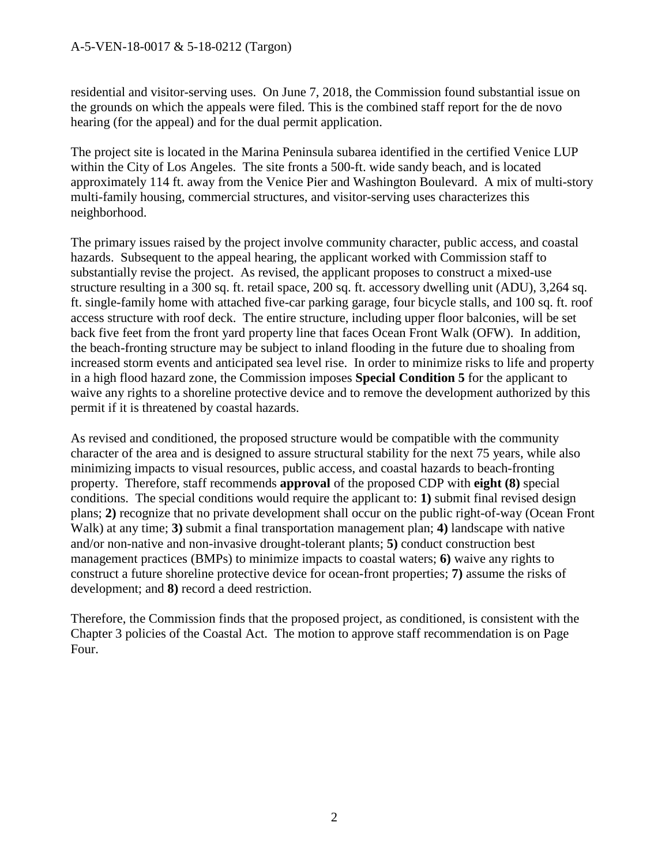residential and visitor-serving uses. On June 7, 2018, the Commission found substantial issue on the grounds on which the appeals were filed. This is the combined staff report for the de novo hearing (for the appeal) and for the dual permit application.

The project site is located in the Marina Peninsula subarea identified in the certified Venice LUP within the City of Los Angeles. The site fronts a 500-ft. wide sandy beach, and is located approximately 114 ft. away from the Venice Pier and Washington Boulevard. A mix of multi-story multi-family housing, commercial structures, and visitor-serving uses characterizes this neighborhood.

The primary issues raised by the project involve community character, public access, and coastal hazards. Subsequent to the appeal hearing, the applicant worked with Commission staff to substantially revise the project. As revised, the applicant proposes to construct a mixed-use structure resulting in a 300 sq. ft. retail space, 200 sq. ft. accessory dwelling unit (ADU), 3,264 sq. ft. single-family home with attached five-car parking garage, four bicycle stalls, and 100 sq. ft. roof access structure with roof deck. The entire structure, including upper floor balconies, will be set back five feet from the front yard property line that faces Ocean Front Walk (OFW). In addition, the beach-fronting structure may be subject to inland flooding in the future due to shoaling from increased storm events and anticipated sea level rise. In order to minimize risks to life and property in a high flood hazard zone, the Commission imposes **Special Condition 5** for the applicant to waive any rights to a shoreline protective device and to remove the development authorized by this permit if it is threatened by coastal hazards.

As revised and conditioned, the proposed structure would be compatible with the community character of the area and is designed to assure structural stability for the next 75 years, while also minimizing impacts to visual resources, public access, and coastal hazards to beach-fronting property. Therefore, staff recommends **approval** of the proposed CDP with **eight (8)** special conditions. The special conditions would require the applicant to: **1)** submit final revised design plans; **2)** recognize that no private development shall occur on the public right-of-way (Ocean Front Walk) at any time; **3)** submit a final transportation management plan; **4)** landscape with native and/or non-native and non-invasive drought-tolerant plants; **5)** conduct construction best management practices (BMPs) to minimize impacts to coastal waters; **6)** waive any rights to construct a future shoreline protective device for ocean-front properties; **7)** assume the risks of development; and **8)** record a deed restriction.

Therefore, the Commission finds that the proposed project, as conditioned, is consistent with the Chapter 3 policies of the Coastal Act. The motion to approve staff recommendation is on Page Four.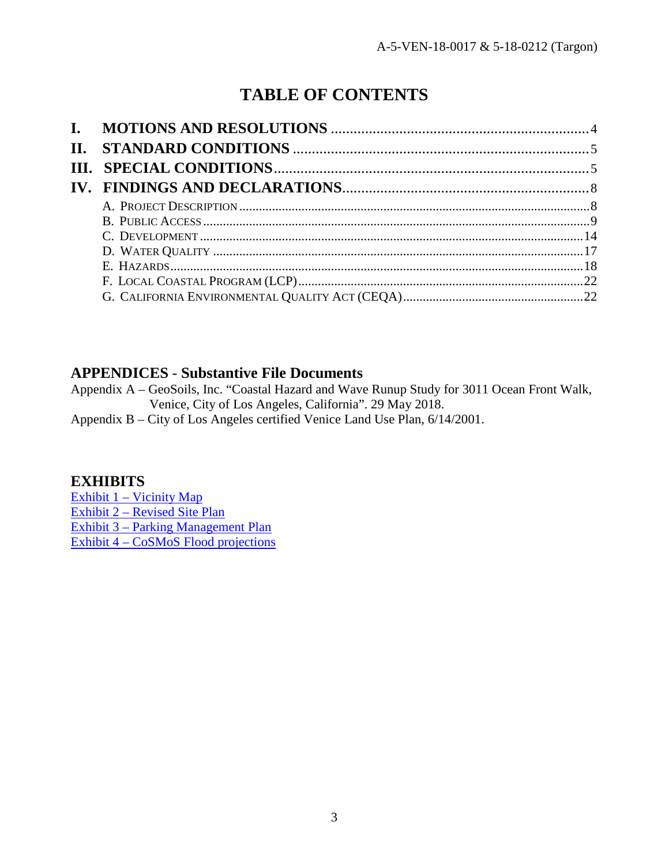# **TABLE OF CONTENTS**

| <b>II.</b> |  |
|------------|--|
|            |  |
|            |  |
|            |  |
|            |  |
|            |  |
|            |  |
|            |  |
|            |  |
|            |  |

### **APPENDICES** - **Substantive File Documents**

Appendix A – GeoSoils, Inc. "Coastal Hazard and Wave Runup Study for 3011 Ocean Front Walk, Venice, City of Los Angeles, California". 29 May 2018.

Appendix B – City of Los Angeles certified Venice Land Use Plan, 6/14/2001.

### **EXHIBITS**

[Exhibit 1 – Vicinity Map](https://documents.coastal.ca.gov/reports/2019/3/w21a&b/w21a&b-3-2019-exhibits.pdf) [Exhibit 2 – Revised Site Plan](https://documents.coastal.ca.gov/reports/2019/3/w21a&b/w21a&b-3-2019-exhibits.pdf) [Exhibit 3 – Parking Management Plan](https://documents.coastal.ca.gov/reports/2019/3/w21a&b/w21a&b-3-2019-exhibits.pdf) [Exhibit 4 – CoSMoS Flood projections](https://documents.coastal.ca.gov/reports/2019/3/w21a&b/w21a&b-3-2019-exhibits.pdf)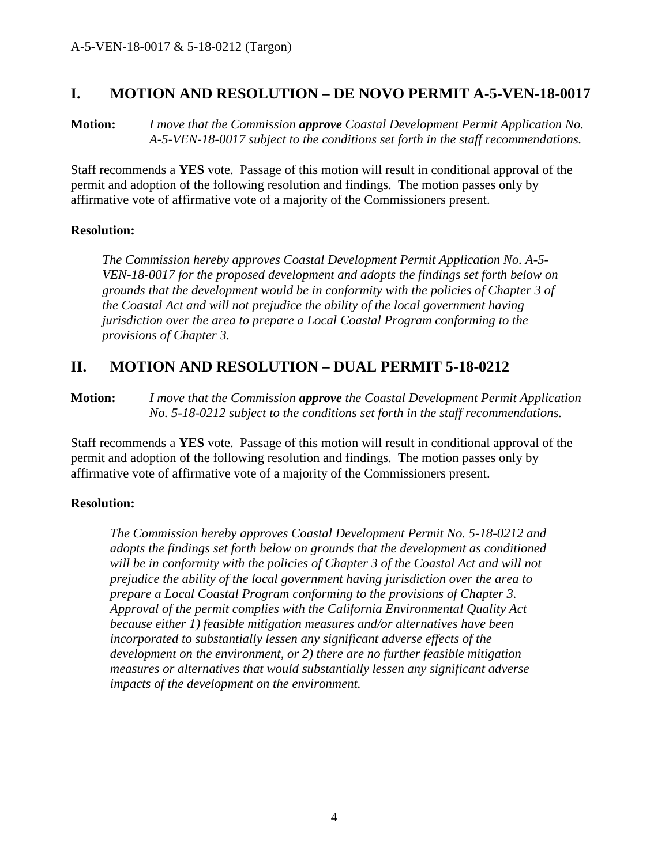### <span id="page-3-0"></span>**I. MOTION AND RESOLUTION – DE NOVO PERMIT A-5-VEN-18-0017**

**Motion:** *I move that the Commission approve Coastal Development Permit Application No. A-5-VEN-18-0017 subject to the conditions set forth in the staff recommendations.*

Staff recommends a **YES** vote. Passage of this motion will result in conditional approval of the permit and adoption of the following resolution and findings. The motion passes only by affirmative vote of affirmative vote of a majority of the Commissioners present.

#### **Resolution:**

*The Commission hereby approves Coastal Development Permit Application No. A-5- VEN-18-0017 for the proposed development and adopts the findings set forth below on grounds that the development would be in conformity with the policies of Chapter 3 of the Coastal Act and will not prejudice the ability of the local government having jurisdiction over the area to prepare a Local Coastal Program conforming to the provisions of Chapter 3.* 

### **II. MOTION AND RESOLUTION – DUAL PERMIT 5-18-0212**

**Motion:** *I move that the Commission approve the Coastal Development Permit Application No. 5-18-0212 subject to the conditions set forth in the staff recommendations.*

Staff recommends a **YES** vote. Passage of this motion will result in conditional approval of the permit and adoption of the following resolution and findings. The motion passes only by affirmative vote of affirmative vote of a majority of the Commissioners present.

#### **Resolution:**

*The Commission hereby approves Coastal Development Permit No. 5-18-0212 and adopts the findings set forth below on grounds that the development as conditioned will be in conformity with the policies of Chapter 3 of the Coastal Act and will not prejudice the ability of the local government having jurisdiction over the area to prepare a Local Coastal Program conforming to the provisions of Chapter 3. Approval of the permit complies with the California Environmental Quality Act because either 1) feasible mitigation measures and/or alternatives have been incorporated to substantially lessen any significant adverse effects of the development on the environment, or 2) there are no further feasible mitigation measures or alternatives that would substantially lessen any significant adverse impacts of the development on the environment.*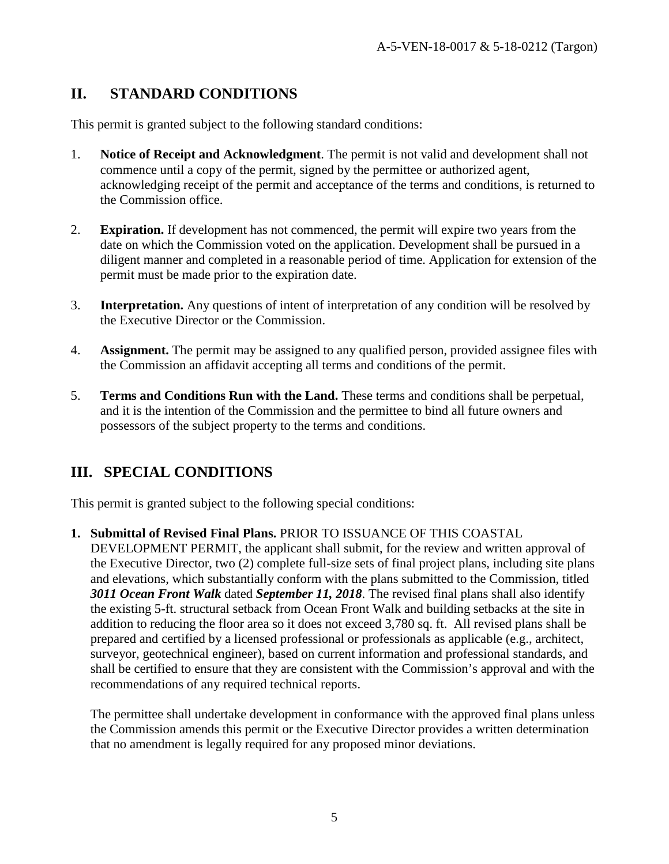## <span id="page-4-0"></span>**II. STANDARD CONDITIONS**

This permit is granted subject to the following standard conditions:

- 1. **Notice of Receipt and Acknowledgment**. The permit is not valid and development shall not commence until a copy of the permit, signed by the permittee or authorized agent, acknowledging receipt of the permit and acceptance of the terms and conditions, is returned to the Commission office.
- 2. **Expiration.** If development has not commenced, the permit will expire two years from the date on which the Commission voted on the application. Development shall be pursued in a diligent manner and completed in a reasonable period of time. Application for extension of the permit must be made prior to the expiration date.
- 3. **Interpretation.** Any questions of intent of interpretation of any condition will be resolved by the Executive Director or the Commission.
- 4. **Assignment.** The permit may be assigned to any qualified person, provided assignee files with the Commission an affidavit accepting all terms and conditions of the permit.
- 5. **Terms and Conditions Run with the Land.** These terms and conditions shall be perpetual, and it is the intention of the Commission and the permittee to bind all future owners and possessors of the subject property to the terms and conditions.

## <span id="page-4-1"></span>**III. SPECIAL CONDITIONS**

This permit is granted subject to the following special conditions:

<span id="page-4-2"></span>**1. Submittal of Revised Final Plans.** PRIOR TO ISSUANCE OF THIS COASTAL DEVELOPMENT PERMIT, the applicant shall submit, for the review and written approval of the Executive Director, two (2) complete full-size sets of final project plans, including site plans and elevations, which substantially conform with the plans submitted to the Commission, titled *3011 Ocean Front Walk* dated *September 11, 2018*. The revised final plans shall also identify the existing 5-ft. structural setback from Ocean Front Walk and building setbacks at the site in addition to reducing the floor area so it does not exceed 3,780 sq. ft. All revised plans shall be prepared and certified by a licensed professional or professionals as applicable (e.g., architect, surveyor, geotechnical engineer), based on current information and professional standards, and shall be certified to ensure that they are consistent with the Commission's approval and with the recommendations of any required technical reports.

The permittee shall undertake development in conformance with the approved final plans unless the Commission amends this permit or the Executive Director provides a written determination that no amendment is legally required for any proposed minor deviations.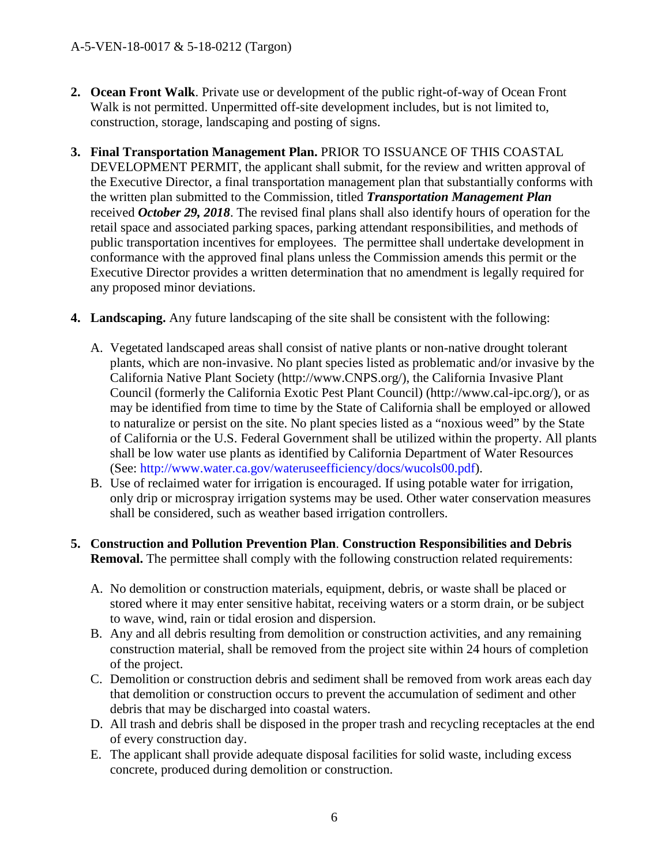- <span id="page-5-0"></span>**2. Ocean Front Walk**. Private use or development of the public right-of-way of Ocean Front Walk is not permitted. Unpermitted off-site development includes, but is not limited to, construction, storage, landscaping and posting of signs.
- <span id="page-5-1"></span>**3. Final Transportation Management Plan.** PRIOR TO ISSUANCE OF THIS COASTAL DEVELOPMENT PERMIT, the applicant shall submit, for the review and written approval of the Executive Director, a final transportation management plan that substantially conforms with the written plan submitted to the Commission, titled *Transportation Management Plan* received *October 29, 2018*. The revised final plans shall also identify hours of operation for the retail space and associated parking spaces, parking attendant responsibilities, and methods of public transportation incentives for employees. The permittee shall undertake development in conformance with the approved final plans unless the Commission amends this permit or the Executive Director provides a written determination that no amendment is legally required for any proposed minor deviations.
- <span id="page-5-2"></span>**4. Landscaping.** Any future landscaping of the site shall be consistent with the following:
	- A. Vegetated landscaped areas shall consist of native plants or non-native drought tolerant plants, which are non-invasive. No plant species listed as problematic and/or invasive by the California Native Plant Society (http://www.CNPS.org/), the California Invasive Plant Council (formerly the California Exotic Pest Plant Council) (http://www.cal-ipc.org/), or as may be identified from time to time by the State of California shall be employed or allowed to naturalize or persist on the site. No plant species listed as a "noxious weed" by the State of California or the U.S. Federal Government shall be utilized within the property. All plants shall be low water use plants as identified by California Department of Water Resources (See: http://www.water.ca.gov/wateruseefficiency/docs/wucols00.pdf).
	- B. Use of reclaimed water for irrigation is encouraged. If using potable water for irrigation, only drip or microspray irrigation systems may be used. Other water conservation measures shall be considered, such as weather based irrigation controllers.
- <span id="page-5-3"></span>**5. Construction and Pollution Prevention Plan**. **Construction Responsibilities and Debris Removal.** The permittee shall comply with the following construction related requirements:
	- A. No demolition or construction materials, equipment, debris, or waste shall be placed or stored where it may enter sensitive habitat, receiving waters or a storm drain, or be subject to wave, wind, rain or tidal erosion and dispersion.
	- B. Any and all debris resulting from demolition or construction activities, and any remaining construction material, shall be removed from the project site within 24 hours of completion of the project.
	- C. Demolition or construction debris and sediment shall be removed from work areas each day that demolition or construction occurs to prevent the accumulation of sediment and other debris that may be discharged into coastal waters.
	- D. All trash and debris shall be disposed in the proper trash and recycling receptacles at the end of every construction day.
	- E. The applicant shall provide adequate disposal facilities for solid waste, including excess concrete, produced during demolition or construction.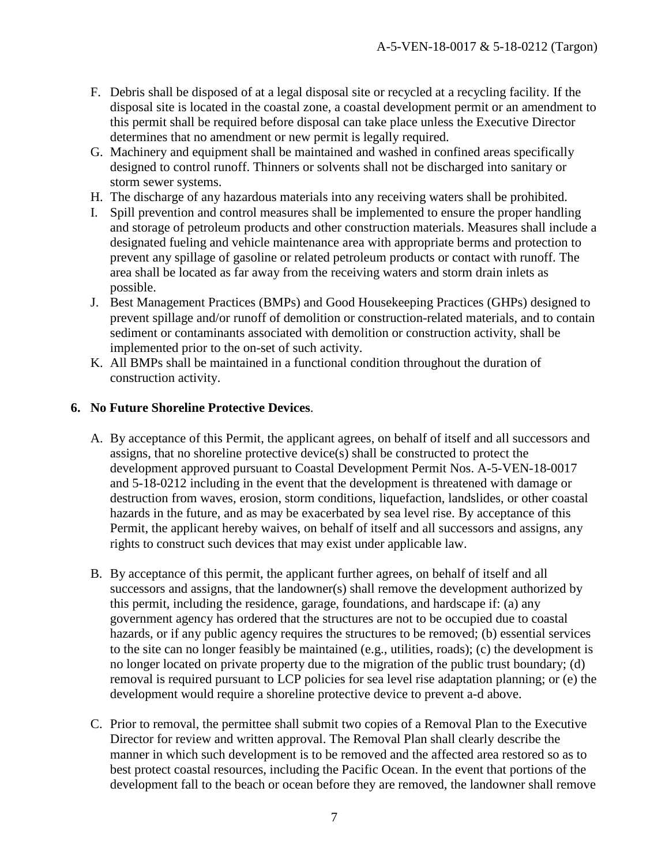- F. Debris shall be disposed of at a legal disposal site or recycled at a recycling facility. If the disposal site is located in the coastal zone, a coastal development permit or an amendment to this permit shall be required before disposal can take place unless the Executive Director determines that no amendment or new permit is legally required.
- G. Machinery and equipment shall be maintained and washed in confined areas specifically designed to control runoff. Thinners or solvents shall not be discharged into sanitary or storm sewer systems.
- H. The discharge of any hazardous materials into any receiving waters shall be prohibited.
- I. Spill prevention and control measures shall be implemented to ensure the proper handling and storage of petroleum products and other construction materials. Measures shall include a designated fueling and vehicle maintenance area with appropriate berms and protection to prevent any spillage of gasoline or related petroleum products or contact with runoff. The area shall be located as far away from the receiving waters and storm drain inlets as possible.
- J. Best Management Practices (BMPs) and Good Housekeeping Practices (GHPs) designed to prevent spillage and/or runoff of demolition or construction-related materials, and to contain sediment or contaminants associated with demolition or construction activity, shall be implemented prior to the on-set of such activity.
- K. All BMPs shall be maintained in a functional condition throughout the duration of construction activity.

#### <span id="page-6-0"></span>**6. No Future Shoreline Protective Devices**.

- A. By acceptance of this Permit, the applicant agrees, on behalf of itself and all successors and assigns, that no shoreline protective device(s) shall be constructed to protect the development approved pursuant to Coastal Development Permit Nos. A-5-VEN-18-0017 and 5-18-0212 including in the event that the development is threatened with damage or destruction from waves, erosion, storm conditions, liquefaction, landslides, or other coastal hazards in the future, and as may be exacerbated by sea level rise. By acceptance of this Permit, the applicant hereby waives, on behalf of itself and all successors and assigns, any rights to construct such devices that may exist under applicable law.
- B. By acceptance of this permit, the applicant further agrees, on behalf of itself and all successors and assigns, that the landowner(s) shall remove the development authorized by this permit, including the residence, garage, foundations, and hardscape if: (a) any government agency has ordered that the structures are not to be occupied due to coastal hazards, or if any public agency requires the structures to be removed; (b) essential services to the site can no longer feasibly be maintained (e.g., utilities, roads); (c) the development is no longer located on private property due to the migration of the public trust boundary; (d) removal is required pursuant to LCP policies for sea level rise adaptation planning; or (e) the development would require a shoreline protective device to prevent a-d above.
- C. Prior to removal, the permittee shall submit two copies of a Removal Plan to the Executive Director for review and written approval. The Removal Plan shall clearly describe the manner in which such development is to be removed and the affected area restored so as to best protect coastal resources, including the Pacific Ocean. In the event that portions of the development fall to the beach or ocean before they are removed, the landowner shall remove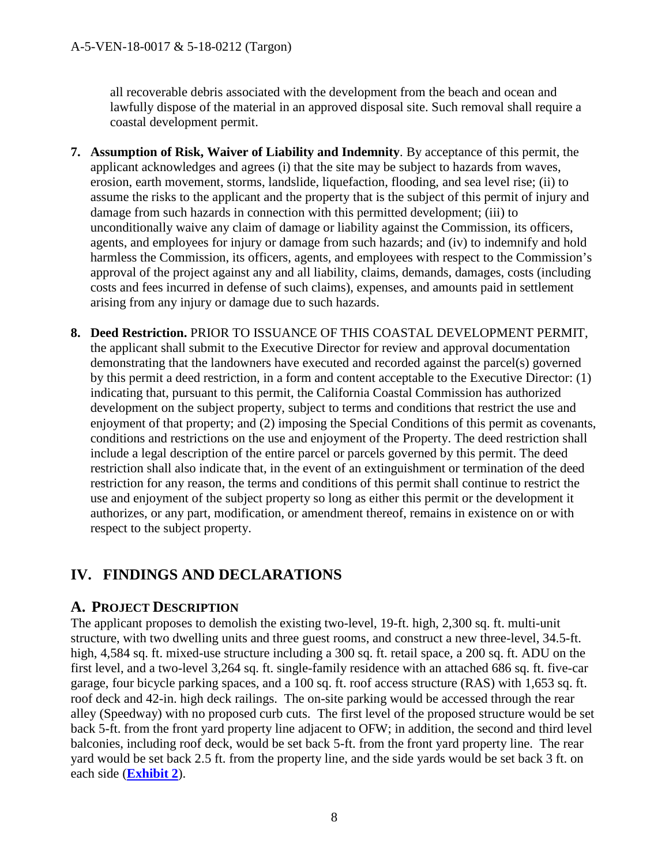all recoverable debris associated with the development from the beach and ocean and lawfully dispose of the material in an approved disposal site. Such removal shall require a coastal development permit.

- <span id="page-7-2"></span>**7. Assumption of Risk, Waiver of Liability and Indemnity**. By acceptance of this permit, the applicant acknowledges and agrees (i) that the site may be subject to hazards from waves, erosion, earth movement, storms, landslide, liquefaction, flooding, and sea level rise; (ii) to assume the risks to the applicant and the property that is the subject of this permit of injury and damage from such hazards in connection with this permitted development; (iii) to unconditionally waive any claim of damage or liability against the Commission, its officers, agents, and employees for injury or damage from such hazards; and (iv) to indemnify and hold harmless the Commission, its officers, agents, and employees with respect to the Commission's approval of the project against any and all liability, claims, demands, damages, costs (including costs and fees incurred in defense of such claims), expenses, and amounts paid in settlement arising from any injury or damage due to such hazards.
- <span id="page-7-3"></span>**8. Deed Restriction.** PRIOR TO ISSUANCE OF THIS COASTAL DEVELOPMENT PERMIT, the applicant shall submit to the Executive Director for review and approval documentation demonstrating that the landowners have executed and recorded against the parcel(s) governed by this permit a deed restriction, in a form and content acceptable to the Executive Director: (1) indicating that, pursuant to this permit, the California Coastal Commission has authorized development on the subject property, subject to terms and conditions that restrict the use and enjoyment of that property; and (2) imposing the Special Conditions of this permit as covenants, conditions and restrictions on the use and enjoyment of the Property. The deed restriction shall include a legal description of the entire parcel or parcels governed by this permit. The deed restriction shall also indicate that, in the event of an extinguishment or termination of the deed restriction for any reason, the terms and conditions of this permit shall continue to restrict the use and enjoyment of the subject property so long as either this permit or the development it authorizes, or any part, modification, or amendment thereof, remains in existence on or with respect to the subject property.

## <span id="page-7-1"></span><span id="page-7-0"></span>**IV. FINDINGS AND DECLARATIONS**

### **A. PROJECT DESCRIPTION**

The applicant proposes to demolish the existing two-level, 19-ft. high, 2,300 sq. ft. multi-unit structure, with two dwelling units and three guest rooms, and construct a new three-level, 34.5-ft. high, 4,584 sq. ft. mixed-use structure including a 300 sq. ft. retail space, a 200 sq. ft. ADU on the first level, and a two-level 3,264 sq. ft. single-family residence with an attached 686 sq. ft. five-car garage, four bicycle parking spaces, and a 100 sq. ft. roof access structure (RAS) with 1,653 sq. ft. roof deck and 42-in. high deck railings. The on-site parking would be accessed through the rear alley (Speedway) with no proposed curb cuts. The first level of the proposed structure would be set back 5-ft. from the front yard property line adjacent to OFW; in addition, the second and third level balconies, including roof deck, would be set back 5-ft. from the front yard property line. The rear yard would be set back 2.5 ft. from the property line, and the side yards would be set back 3 ft. on each side (**[Exhibit 2](https://documents.coastal.ca.gov/reports/2019/3/w21a&b/w21a&b-3-2019-exhibits.pdf)**).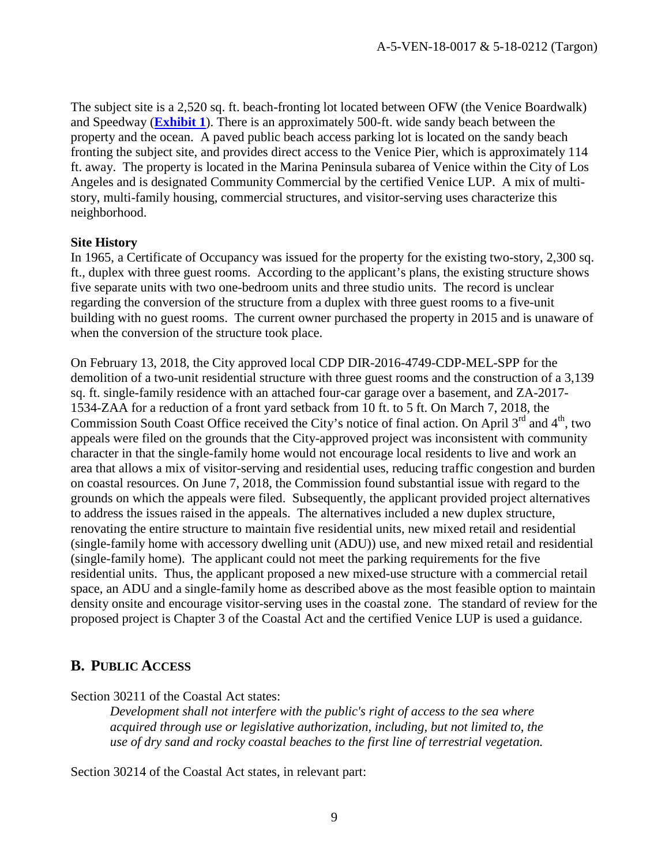The subject site is a 2,520 sq. ft. beach-fronting lot located between OFW (the Venice Boardwalk) and Speedway (**[Exhibit 1](https://documents.coastal.ca.gov/reports/2019/3/w21a&b/w21a&b-3-2019-exhibits.pdf)**). There is an approximately 500-ft. wide sandy beach between the property and the ocean. A paved public beach access parking lot is located on the sandy beach fronting the subject site, and provides direct access to the Venice Pier, which is approximately 114 ft. away. The property is located in the Marina Peninsula subarea of Venice within the City of Los Angeles and is designated Community Commercial by the certified Venice LUP. A mix of multistory, multi-family housing, commercial structures, and visitor-serving uses characterize this neighborhood.

#### **Site History**

In 1965, a Certificate of Occupancy was issued for the property for the existing two-story, 2,300 sq. ft., duplex with three guest rooms. According to the applicant's plans, the existing structure shows five separate units with two one-bedroom units and three studio units. The record is unclear regarding the conversion of the structure from a duplex with three guest rooms to a five-unit building with no guest rooms. The current owner purchased the property in 2015 and is unaware of when the conversion of the structure took place.

On February 13, 2018, the City approved local CDP DIR-2016-4749-CDP-MEL-SPP for the demolition of a two-unit residential structure with three guest rooms and the construction of a 3,139 sq. ft. single-family residence with an attached four-car garage over a basement, and ZA-2017- 1534-ZAA for a reduction of a front yard setback from 10 ft. to 5 ft. On March 7, 2018, the Commission South Coast Office received the City's notice of final action. On April 3<sup>rd</sup> and 4<sup>th</sup>, two appeals were filed on the grounds that the City-approved project was inconsistent with community character in that the single-family home would not encourage local residents to live and work an area that allows a mix of visitor-serving and residential uses, reducing traffic congestion and burden on coastal resources. On June 7, 2018, the Commission found substantial issue with regard to the grounds on which the appeals were filed. Subsequently, the applicant provided project alternatives to address the issues raised in the appeals. The alternatives included a new duplex structure, renovating the entire structure to maintain five residential units, new mixed retail and residential (single-family home with accessory dwelling unit (ADU)) use, and new mixed retail and residential (single-family home). The applicant could not meet the parking requirements for the five residential units. Thus, the applicant proposed a new mixed-use structure with a commercial retail space, an ADU and a single-family home as described above as the most feasible option to maintain density onsite and encourage visitor-serving uses in the coastal zone. The standard of review for the proposed project is Chapter 3 of the Coastal Act and the certified Venice LUP is used a guidance.

### <span id="page-8-0"></span>**B. PUBLIC ACCESS**

Section 30211 of the Coastal Act states:

*Development shall not interfere with the public's right of access to the sea where acquired through use or legislative authorization, including, but not limited to, the use of dry sand and rocky coastal beaches to the first line of terrestrial vegetation.* 

Section 30214 of the Coastal Act states, in relevant part: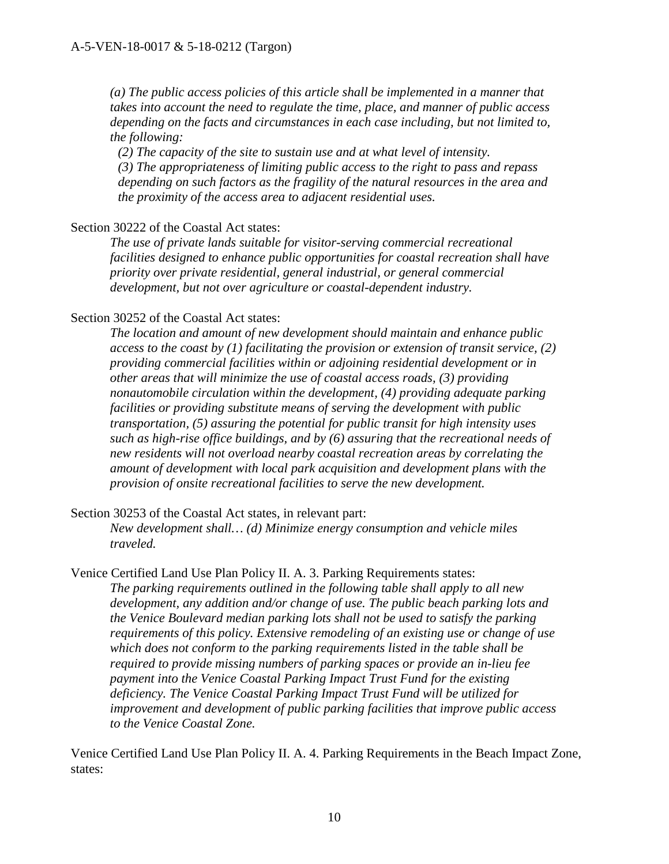*(a) The public access policies of this article shall be implemented in a manner that takes into account the need to regulate the time, place, and manner of public access depending on the facts and circumstances in each case including, but not limited to, the following:* 

*(2) The capacity of the site to sustain use and at what level of intensity. (3) The appropriateness of limiting public access to the right to pass and repass depending on such factors as the fragility of the natural resources in the area and the proximity of the access area to adjacent residential uses.*

#### Section 30222 of the Coastal Act states:

*The use of private lands suitable for visitor-serving commercial recreational facilities designed to enhance public opportunities for coastal recreation shall have priority over private residential, general industrial, or general commercial development, but not over agriculture or coastal-dependent industry.* 

#### Section 30252 of the Coastal Act states:

*The location and amount of new development should maintain and enhance public access to the coast by (1) facilitating the provision or extension of transit service, (2) providing commercial facilities within or adjoining residential development or in other areas that will minimize the use of coastal access roads, (3) providing nonautomobile circulation within the development, (4) providing adequate parking facilities or providing substitute means of serving the development with public transportation, (5) assuring the potential for public transit for high intensity uses such as high-rise office buildings, and by (6) assuring that the recreational needs of new residents will not overload nearby coastal recreation areas by correlating the amount of development with local park acquisition and development plans with the provision of onsite recreational facilities to serve the new development.* 

Section 30253 of the Coastal Act states, in relevant part:

*New development shall… (d) Minimize energy consumption and vehicle miles traveled.*

Venice Certified Land Use Plan Policy II. A. 3. Parking Requirements states: *The parking requirements outlined in the following table shall apply to all new development, any addition and/or change of use. The public beach parking lots and the Venice Boulevard median parking lots shall not be used to satisfy the parking requirements of this policy. Extensive remodeling of an existing use or change of use which does not conform to the parking requirements listed in the table shall be required to provide missing numbers of parking spaces or provide an in-lieu fee payment into the Venice Coastal Parking Impact Trust Fund for the existing deficiency. The Venice Coastal Parking Impact Trust Fund will be utilized for improvement and development of public parking facilities that improve public access to the Venice Coastal Zone.* 

Venice Certified Land Use Plan Policy II. A. 4. Parking Requirements in the Beach Impact Zone, states: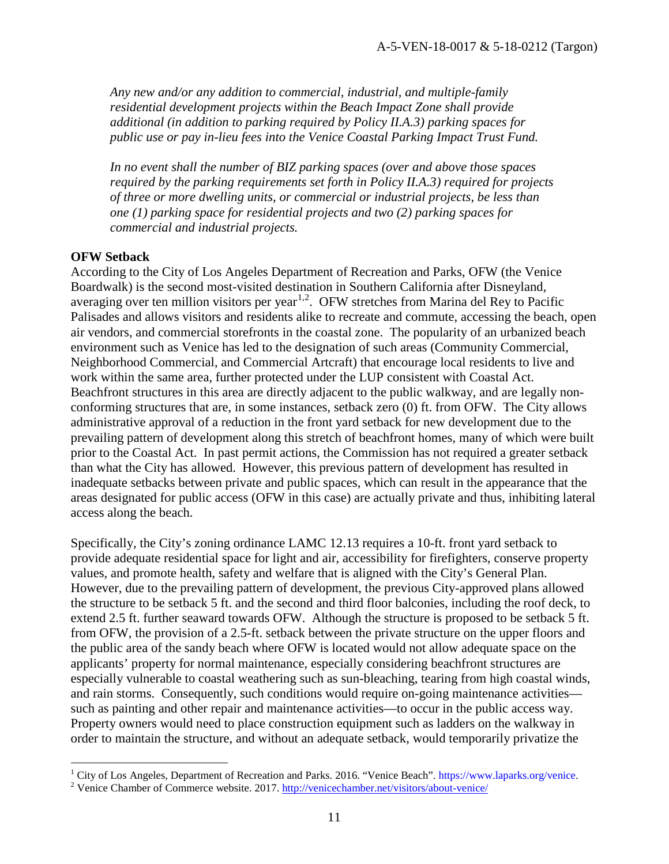*Any new and/or any addition to commercial, industrial, and multiple-family residential development projects within the Beach Impact Zone shall provide additional (in addition to parking required by Policy II.A.3) parking spaces for public use or pay in-lieu fees into the Venice Coastal Parking Impact Trust Fund.* 

*In no event shall the number of BIZ parking spaces (over and above those spaces required by the parking requirements set forth in Policy II.A.3) required for projects of three or more dwelling units, or commercial or industrial projects, be less than one (1) parking space for residential projects and two (2) parking spaces for commercial and industrial projects.* 

#### **OFW Setback**

According to the City of Los Angeles Department of Recreation and Parks, OFW (the Venice Boardwalk) is the second most-visited destination in Southern California after Disneyland, averaging over ten million visitors per year<sup>[1,](#page-10-0)[2](#page-10-1)</sup>. OFW stretches from Marina del Rey to Pacific Palisades and allows visitors and residents alike to recreate and commute, accessing the beach, open air vendors, and commercial storefronts in the coastal zone. The popularity of an urbanized beach environment such as Venice has led to the designation of such areas (Community Commercial, Neighborhood Commercial, and Commercial Artcraft) that encourage local residents to live and work within the same area, further protected under the LUP consistent with Coastal Act. Beachfront structures in this area are directly adjacent to the public walkway, and are legally nonconforming structures that are, in some instances, setback zero (0) ft. from OFW. The City allows administrative approval of a reduction in the front yard setback for new development due to the prevailing pattern of development along this stretch of beachfront homes, many of which were built prior to the Coastal Act. In past permit actions, the Commission has not required a greater setback than what the City has allowed. However, this previous pattern of development has resulted in inadequate setbacks between private and public spaces, which can result in the appearance that the areas designated for public access (OFW in this case) are actually private and thus, inhibiting lateral access along the beach.

Specifically, the City's zoning ordinance LAMC 12.13 requires a 10-ft. front yard setback to provide adequate residential space for light and air, accessibility for firefighters, conserve property values, and promote health, safety and welfare that is aligned with the City's General Plan. However, due to the prevailing pattern of development, the previous City-approved plans allowed the structure to be setback 5 ft. and the second and third floor balconies, including the roof deck, to extend 2.5 ft. further seaward towards OFW. Although the structure is proposed to be setback 5 ft. from OFW, the provision of a 2.5-ft. setback between the private structure on the upper floors and the public area of the sandy beach where OFW is located would not allow adequate space on the applicants' property for normal maintenance, especially considering beachfront structures are especially vulnerable to coastal weathering such as sun-bleaching, tearing from high coastal winds, and rain storms. Consequently, such conditions would require on-going maintenance activities such as painting and other repair and maintenance activities—to occur in the public access way. Property owners would need to place construction equipment such as ladders on the walkway in order to maintain the structure, and without an adequate setback, would temporarily privatize the

 $\overline{a}$ <sup>1</sup> City of Los Angeles, Department of Recreation and Parks. 2016. "Venice Beach". https://www.laparks.org/venice. <sup>2</sup> Venice Chamber of Commerce website. 2017.<http://venicechamber.net/visitors/about-venice/>

<span id="page-10-1"></span><span id="page-10-0"></span>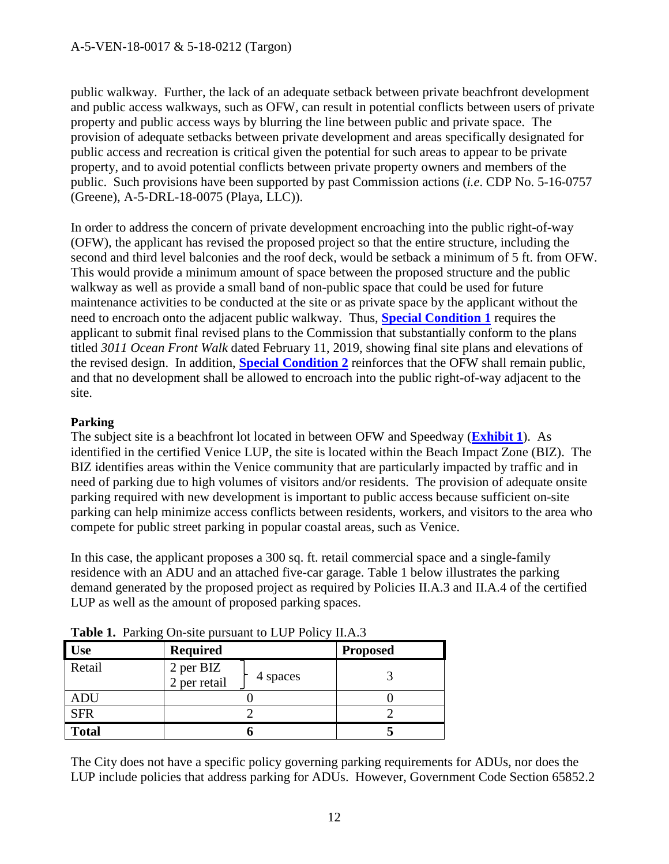public walkway. Further, the lack of an adequate setback between private beachfront development and public access walkways, such as OFW, can result in potential conflicts between users of private property and public access ways by blurring the line between public and private space. The provision of adequate setbacks between private development and areas specifically designated for public access and recreation is critical given the potential for such areas to appear to be private property, and to avoid potential conflicts between private property owners and members of the public. Such provisions have been supported by past Commission actions (*i.e*. CDP No. 5-16-0757 (Greene), A-5-DRL-18-0075 (Playa, LLC)).

In order to address the concern of private development encroaching into the public right-of-way (OFW), the applicant has revised the proposed project so that the entire structure, including the second and third level balconies and the roof deck, would be setback a minimum of 5 ft. from OFW. This would provide a minimum amount of space between the proposed structure and the public walkway as well as provide a small band of non-public space that could be used for future maintenance activities to be conducted at the site or as private space by the applicant without the need to encroach onto the adjacent public walkway. Thus, **[Special Condition 1](#page-4-2)** requires the applicant to submit final revised plans to the Commission that substantially conform to the plans titled *3011 Ocean Front Walk* dated February 11, 2019, showing final site plans and elevations of the revised design. In addition, **[Special Condition 2](#page-5-0)** reinforces that the OFW shall remain public, and that no development shall be allowed to encroach into the public right-of-way adjacent to the site.

### **Parking**

The subject site is a beachfront lot located in between OFW and Speedway (**[Exhibit 1](https://documents.coastal.ca.gov/reports/2019/3/w21a&b/w21a&b-3-2019-exhibits.pdf)**). As identified in the certified Venice LUP, the site is located within the Beach Impact Zone (BIZ). The BIZ identifies areas within the Venice community that are particularly impacted by traffic and in need of parking due to high volumes of visitors and/or residents. The provision of adequate onsite parking required with new development is important to public access because sufficient on-site parking can help minimize access conflicts between residents, workers, and visitors to the area who compete for public street parking in popular coastal areas, such as Venice.

In this case, the applicant proposes a 300 sq. ft. retail commercial space and a single-family residence with an ADU and an attached five-car garage. Table 1 below illustrates the parking demand generated by the proposed project as required by Policies II.A.3 and II.A.4 of the certified LUP as well as the amount of proposed parking spaces.

| --- 0        |                                       |                 |  |
|--------------|---------------------------------------|-----------------|--|
| <b>Use</b>   | <b>Required</b>                       | <b>Proposed</b> |  |
| Retail       | 2 per BIZ<br>2 per retail<br>4 spaces |                 |  |
| ADU          |                                       |                 |  |
| <b>SFR</b>   |                                       |                 |  |
| <b>Total</b> |                                       |                 |  |

Table 1. Parking On-site pursuant to LUP Policy II.A.3

The City does not have a specific policy governing parking requirements for ADUs, nor does the LUP include policies that address parking for ADUs. However, Government Code Section 65852.2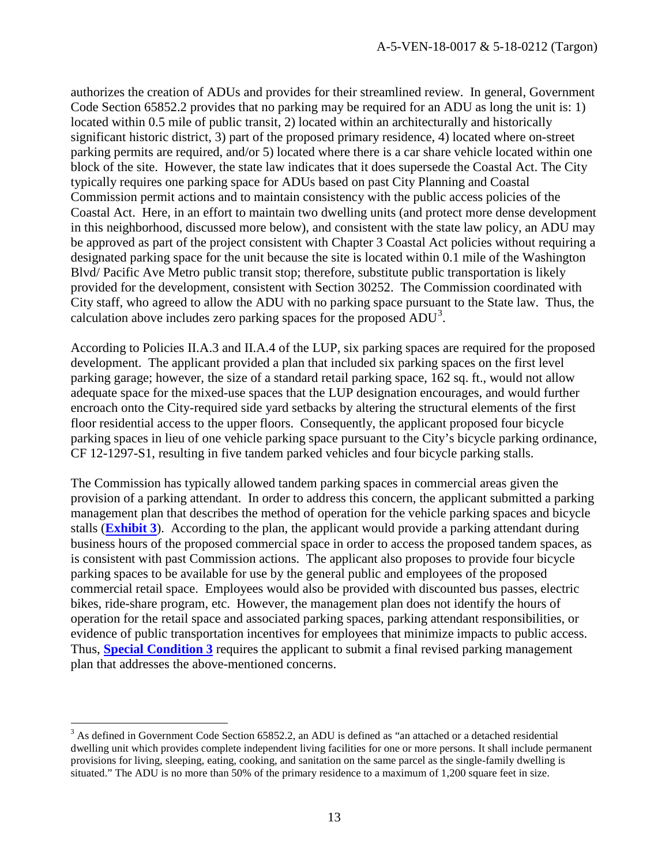authorizes the creation of ADUs and provides for their streamlined review. In general, Government Code Section 65852.2 provides that no parking may be required for an ADU as long the unit is: 1) located within 0.5 mile of public transit, 2) located within an architecturally and historically significant historic district, 3) part of the proposed primary residence, 4) located where on-street parking permits are required, and/or 5) located where there is a car share vehicle located within one block of the site. However, the state law indicates that it does supersede the Coastal Act. The City typically requires one parking space for ADUs based on past City Planning and Coastal Commission permit actions and to maintain consistency with the public access policies of the Coastal Act. Here, in an effort to maintain two dwelling units (and protect more dense development in this neighborhood, discussed more below), and consistent with the state law policy, an ADU may be approved as part of the project consistent with Chapter 3 Coastal Act policies without requiring a designated parking space for the unit because the site is located within 0.1 mile of the Washington Blvd/ Pacific Ave Metro public transit stop; therefore, substitute public transportation is likely provided for the development, consistent with Section 30252. The Commission coordinated with City staff, who agreed to allow the ADU with no parking space pursuant to the State law. Thus, the calculation above includes zero parking spaces for the proposed  $\text{ADU}^3$  $\text{ADU}^3$ .

According to Policies II.A.3 and II.A.4 of the LUP, six parking spaces are required for the proposed development. The applicant provided a plan that included six parking spaces on the first level parking garage; however, the size of a standard retail parking space, 162 sq. ft., would not allow adequate space for the mixed-use spaces that the LUP designation encourages, and would further encroach onto the City-required side yard setbacks by altering the structural elements of the first floor residential access to the upper floors. Consequently, the applicant proposed four bicycle parking spaces in lieu of one vehicle parking space pursuant to the City's bicycle parking ordinance, CF 12-1297-S1, resulting in five tandem parked vehicles and four bicycle parking stalls.

The Commission has typically allowed tandem parking spaces in commercial areas given the provision of a parking attendant. In order to address this concern, the applicant submitted a parking management plan that describes the method of operation for the vehicle parking spaces and bicycle stalls (**[Exhibit 3](https://documents.coastal.ca.gov/reports/2019/3/w21a&b/w21a&b-3-2019-exhibits.pdf)**). According to the plan, the applicant would provide a parking attendant during business hours of the proposed commercial space in order to access the proposed tandem spaces, as is consistent with past Commission actions. The applicant also proposes to provide four bicycle parking spaces to be available for use by the general public and employees of the proposed commercial retail space. Employees would also be provided with discounted bus passes, electric bikes, ride-share program, etc. However, the management plan does not identify the hours of operation for the retail space and associated parking spaces, parking attendant responsibilities, or evidence of public transportation incentives for employees that minimize impacts to public access. Thus, **[Special Condition 3](#page-5-1)** requires the applicant to submit a final revised parking management plan that addresses the above-mentioned concerns.

 $\overline{a}$ 

<span id="page-12-0"></span> $3$  As defined in Government Code Section 65852.2, an ADU is defined as "an attached or a detached residential dwelling unit which provides complete independent living facilities for one or more persons. It shall include permanent provisions for living, sleeping, eating, cooking, and sanitation on the same parcel as the single-family dwelling is situated." The ADU is no more than 50% of the primary residence to a maximum of 1,200 square feet in size.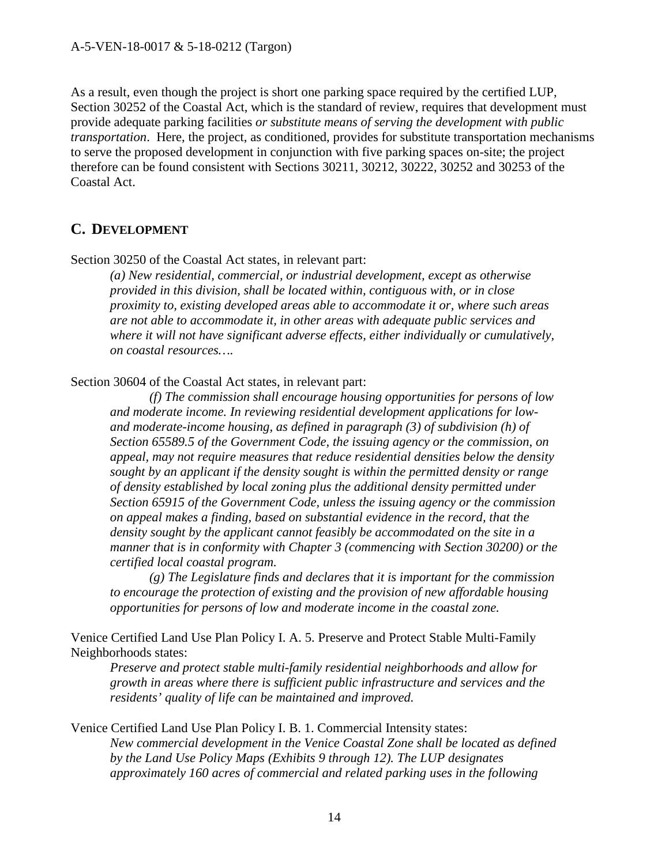As a result, even though the project is short one parking space required by the certified LUP, Section 30252 of the Coastal Act, which is the standard of review, requires that development must provide adequate parking facilities *or substitute means of serving the development with public transportation*. Here, the project, as conditioned, provides for substitute transportation mechanisms to serve the proposed development in conjunction with five parking spaces on-site; the project therefore can be found consistent with Sections 30211, 30212, 30222, 30252 and 30253 of the Coastal Act.

### <span id="page-13-0"></span>**C. DEVELOPMENT**

Section 30250 of the Coastal Act states, in relevant part:

*(a) New residential, commercial, or industrial development, except as otherwise provided in this division, shall be located within, contiguous with, or in close proximity to, existing developed areas able to accommodate it or, where such areas are not able to accommodate it, in other areas with adequate public services and where it will not have significant adverse effects, either individually or cumulatively, on coastal resources….* 

Section 30604 of the Coastal Act states, in relevant part:

*(f) The commission shall encourage housing opportunities for persons of low and moderate income. In reviewing residential development applications for lowand moderate-income housing, as defined in paragraph (3) of subdivision (h) of Section 65589.5 of the Government Code, the issuing agency or the commission, on appeal, may not require measures that reduce residential densities below the density sought by an applicant if the density sought is within the permitted density or range of density established by local zoning plus the additional density permitted under Section 65915 of the Government Code, unless the issuing agency or the commission on appeal makes a finding, based on substantial evidence in the record, that the density sought by the applicant cannot feasibly be accommodated on the site in a manner that is in conformity with Chapter 3 (commencing with Section 30200) or the certified local coastal program.* 

*(g) The Legislature finds and declares that it is important for the commission to encourage the protection of existing and the provision of new affordable housing opportunities for persons of low and moderate income in the coastal zone.* 

Venice Certified Land Use Plan Policy I. A. 5. Preserve and Protect Stable Multi-Family Neighborhoods states:

*Preserve and protect stable multi-family residential neighborhoods and allow for growth in areas where there is sufficient public infrastructure and services and the residents' quality of life can be maintained and improved.* 

Venice Certified Land Use Plan Policy I. B. 1. Commercial Intensity states: *New commercial development in the Venice Coastal Zone shall be located as defined by the Land Use Policy Maps (Exhibits 9 through 12). The LUP designates approximately 160 acres of commercial and related parking uses in the following*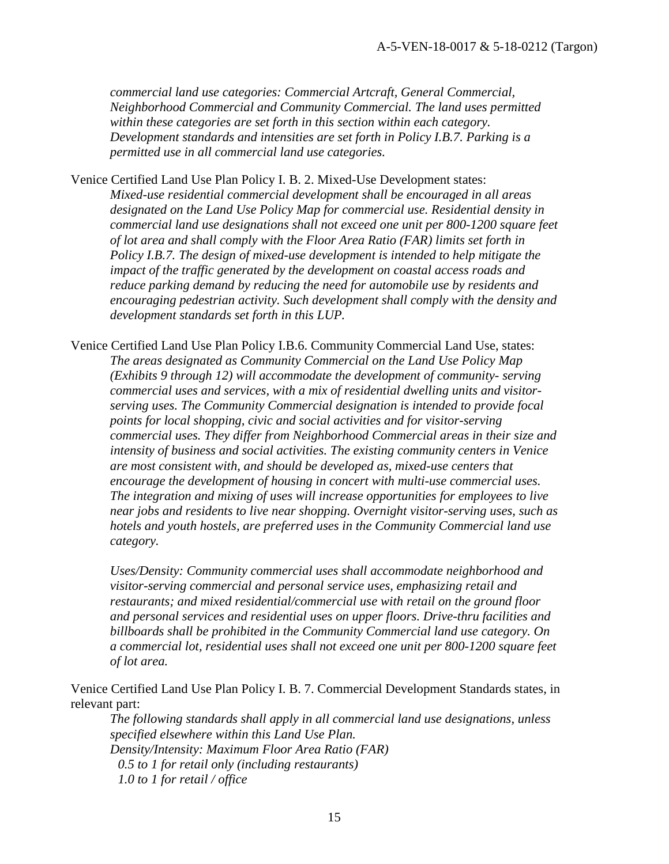*commercial land use categories: Commercial Artcraft, General Commercial, Neighborhood Commercial and Community Commercial. The land uses permitted within these categories are set forth in this section within each category. Development standards and intensities are set forth in Policy I.B.7. Parking is a permitted use in all commercial land use categories.* 

Venice Certified Land Use Plan Policy I. B. 2. Mixed-Use Development states: *Mixed-use residential commercial development shall be encouraged in all areas designated on the Land Use Policy Map for commercial use. Residential density in commercial land use designations shall not exceed one unit per 800-1200 square feet of lot area and shall comply with the Floor Area Ratio (FAR) limits set forth in Policy I.B.7. The design of mixed-use development is intended to help mitigate the impact of the traffic generated by the development on coastal access roads and reduce parking demand by reducing the need for automobile use by residents and encouraging pedestrian activity. Such development shall comply with the density and development standards set forth in this LUP.* 

Venice Certified Land Use Plan Policy I.B.6. Community Commercial Land Use, states: *The areas designated as Community Commercial on the Land Use Policy Map (Exhibits 9 through 12) will accommodate the development of community- serving commercial uses and services, with a mix of residential dwelling units and visitorserving uses. The Community Commercial designation is intended to provide focal points for local shopping, civic and social activities and for visitor-serving commercial uses. They differ from Neighborhood Commercial areas in their size and intensity of business and social activities. The existing community centers in Venice are most consistent with, and should be developed as, mixed-use centers that encourage the development of housing in concert with multi-use commercial uses. The integration and mixing of uses will increase opportunities for employees to live near jobs and residents to live near shopping. Overnight visitor-serving uses, such as hotels and youth hostels, are preferred uses in the Community Commercial land use category.* 

*Uses/Density: Community commercial uses shall accommodate neighborhood and visitor-serving commercial and personal service uses, emphasizing retail and restaurants; and mixed residential/commercial use with retail on the ground floor and personal services and residential uses on upper floors. Drive-thru facilities and billboards shall be prohibited in the Community Commercial land use category. On a commercial lot, residential uses shall not exceed one unit per 800-1200 square feet of lot area.* 

Venice Certified Land Use Plan Policy I. B. 7. Commercial Development Standards states, in relevant part:

*The following standards shall apply in all commercial land use designations, unless specified elsewhere within this Land Use Plan. Density/Intensity: Maximum Floor Area Ratio (FAR) 0.5 to 1 for retail only (including restaurants) 1.0 to 1 for retail / office*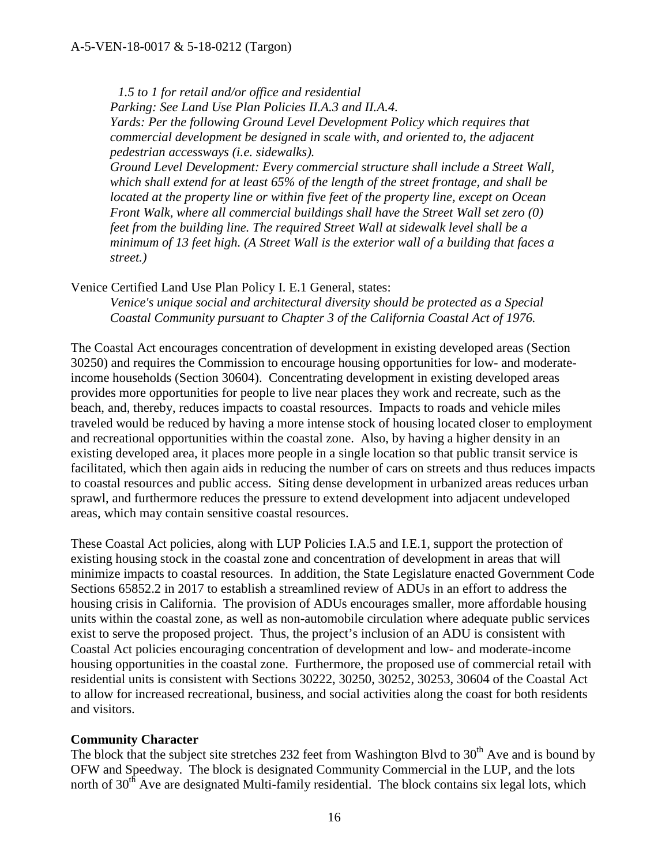*1.5 to 1 for retail and/or office and residential Parking: See Land Use Plan Policies II.A.3 and II.A.4. Yards: Per the following Ground Level Development Policy which requires that commercial development be designed in scale with, and oriented to, the adjacent pedestrian accessways (i.e. sidewalks).* 

*Ground Level Development: Every commercial structure shall include a Street Wall, which shall extend for at least 65% of the length of the street frontage, and shall be located at the property line or within five feet of the property line, except on Ocean Front Walk, where all commercial buildings shall have the Street Wall set zero (0) feet from the building line. The required Street Wall at sidewalk level shall be a minimum of 13 feet high. (A Street Wall is the exterior wall of a building that faces a street.)*

Venice Certified Land Use Plan Policy I. E.1 General, states:

*Venice's unique social and architectural diversity should be protected as a Special Coastal Community pursuant to Chapter 3 of the California Coastal Act of 1976.* 

The Coastal Act encourages concentration of development in existing developed areas (Section 30250) and requires the Commission to encourage housing opportunities for low- and moderateincome households (Section 30604). Concentrating development in existing developed areas provides more opportunities for people to live near places they work and recreate, such as the beach, and, thereby, reduces impacts to coastal resources. Impacts to roads and vehicle miles traveled would be reduced by having a more intense stock of housing located closer to employment and recreational opportunities within the coastal zone. Also, by having a higher density in an existing developed area, it places more people in a single location so that public transit service is facilitated, which then again aids in reducing the number of cars on streets and thus reduces impacts to coastal resources and public access. Siting dense development in urbanized areas reduces urban sprawl, and furthermore reduces the pressure to extend development into adjacent undeveloped areas, which may contain sensitive coastal resources.

These Coastal Act policies, along with LUP Policies I.A.5 and I.E.1, support the protection of existing housing stock in the coastal zone and concentration of development in areas that will minimize impacts to coastal resources. In addition, the State Legislature enacted Government Code Sections 65852.2 in 2017 to establish a streamlined review of ADUs in an effort to address the housing crisis in California. The provision of ADUs encourages smaller, more affordable housing units within the coastal zone, as well as non-automobile circulation where adequate public services exist to serve the proposed project. Thus, the project's inclusion of an ADU is consistent with Coastal Act policies encouraging concentration of development and low- and moderate-income housing opportunities in the coastal zone. Furthermore, the proposed use of commercial retail with residential units is consistent with Sections 30222, 30250, 30252, 30253, 30604 of the Coastal Act to allow for increased recreational, business, and social activities along the coast for both residents and visitors.

#### **Community Character**

The block that the subject site stretches 232 feet from Washington Blvd to  $30<sup>th</sup>$  Ave and is bound by OFW and Speedway. The block is designated Community Commercial in the LUP, and the lots north of 30<sup>th</sup> Ave are designated Multi-family residential. The block contains six legal lots, which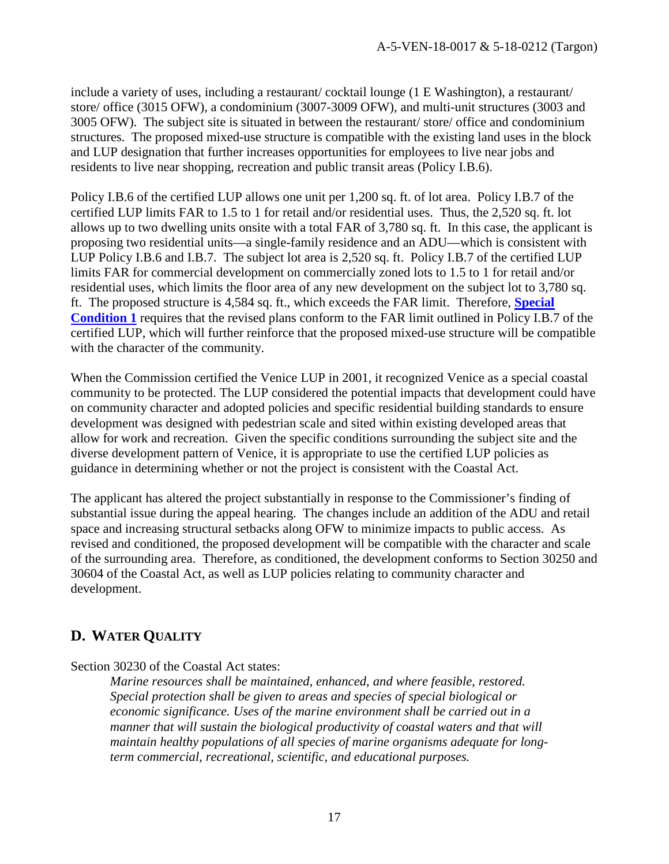include a variety of uses, including a restaurant/ cocktail lounge (1 E Washington), a restaurant/ store/ office (3015 OFW), a condominium (3007-3009 OFW), and multi-unit structures (3003 and 3005 OFW). The subject site is situated in between the restaurant/ store/ office and condominium structures. The proposed mixed-use structure is compatible with the existing land uses in the block and LUP designation that further increases opportunities for employees to live near jobs and residents to live near shopping, recreation and public transit areas (Policy I.B.6).

Policy I.B.6 of the certified LUP allows one unit per 1,200 sq. ft. of lot area. Policy I.B.7 of the certified LUP limits FAR to 1.5 to 1 for retail and/or residential uses. Thus, the 2,520 sq. ft. lot allows up to two dwelling units onsite with a total FAR of 3,780 sq. ft. In this case, the applicant is proposing two residential units—a single-family residence and an ADU—which is consistent with LUP Policy I.B.6 and I.B.7. The subject lot area is 2,520 sq. ft. Policy I.B.7 of the certified LUP limits FAR for commercial development on commercially zoned lots to 1.5 to 1 for retail and/or residential uses, which limits the floor area of any new development on the subject lot to 3,780 sq. ft. The proposed structure is 4,584 sq. ft., which exceeds the FAR limit. Therefore, **[Special](#page-4-2)  [Condition 1](#page-4-2)** requires that the revised plans conform to the FAR limit outlined in Policy I.B.7 of the certified LUP, which will further reinforce that the proposed mixed-use structure will be compatible with the character of the community.

When the Commission certified the Venice LUP in 2001, it recognized Venice as a special coastal community to be protected. The LUP considered the potential impacts that development could have on community character and adopted policies and specific residential building standards to ensure development was designed with pedestrian scale and sited within existing developed areas that allow for work and recreation. Given the specific conditions surrounding the subject site and the diverse development pattern of Venice, it is appropriate to use the certified LUP policies as guidance in determining whether or not the project is consistent with the Coastal Act.

The applicant has altered the project substantially in response to the Commissioner's finding of substantial issue during the appeal hearing. The changes include an addition of the ADU and retail space and increasing structural setbacks along OFW to minimize impacts to public access. As revised and conditioned, the proposed development will be compatible with the character and scale of the surrounding area. Therefore, as conditioned, the development conforms to Section 30250 and 30604 of the Coastal Act, as well as LUP policies relating to community character and development.

### <span id="page-16-0"></span>**D. WATER QUALITY**

Section 30230 of the Coastal Act states:

*Marine resources shall be maintained, enhanced, and where feasible, restored. Special protection shall be given to areas and species of special biological or economic significance. Uses of the marine environment shall be carried out in a manner that will sustain the biological productivity of coastal waters and that will maintain healthy populations of all species of marine organisms adequate for longterm commercial, recreational, scientific, and educational purposes.*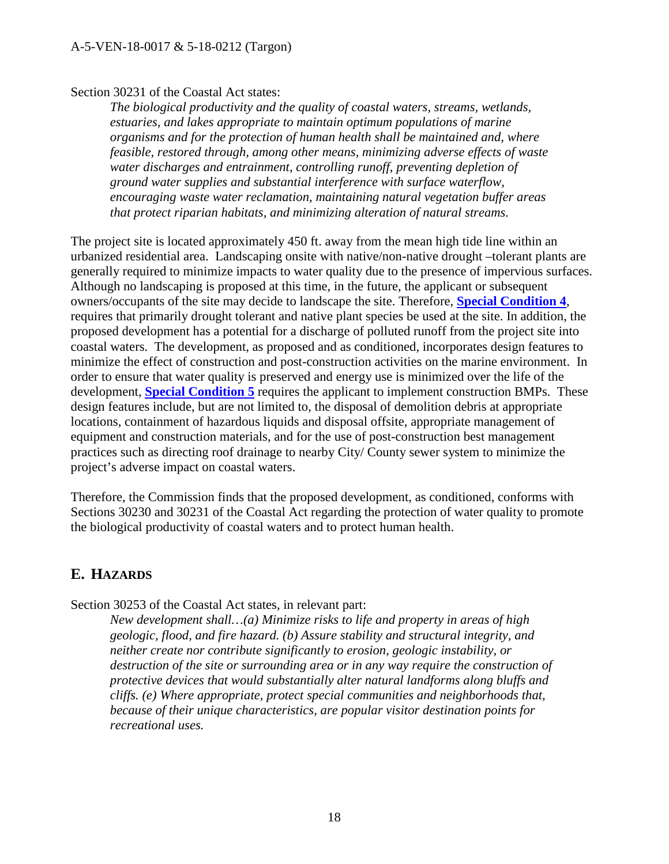#### Section 30231 of the Coastal Act states:

*The biological productivity and the quality of coastal waters, streams, wetlands, estuaries, and lakes appropriate to maintain optimum populations of marine organisms and for the protection of human health shall be maintained and, where feasible, restored through, among other means, minimizing adverse effects of waste water discharges and entrainment, controlling runoff, preventing depletion of ground water supplies and substantial interference with surface waterflow, encouraging waste water reclamation, maintaining natural vegetation buffer areas that protect riparian habitats, and minimizing alteration of natural streams.*

The project site is located approximately 450 ft. away from the mean high tide line within an urbanized residential area. Landscaping onsite with native/non-native drought –tolerant plants are generally required to minimize impacts to water quality due to the presence of impervious surfaces. Although no landscaping is proposed at this time, in the future, the applicant or subsequent owners/occupants of the site may decide to landscape the site. Therefore, **[Special Condition 4](#page-5-2)**, requires that primarily drought tolerant and native plant species be used at the site. In addition, the proposed development has a potential for a discharge of polluted runoff from the project site into coastal waters. The development, as proposed and as conditioned, incorporates design features to minimize the effect of construction and post-construction activities on the marine environment. In order to ensure that water quality is preserved and energy use is minimized over the life of the development, **[Special Condition 5](#page-5-3)** requires the applicant to implement construction BMPs. These design features include, but are not limited to, the disposal of demolition debris at appropriate locations, containment of hazardous liquids and disposal offsite, appropriate management of equipment and construction materials, and for the use of post-construction best management practices such as directing roof drainage to nearby City/ County sewer system to minimize the project's adverse impact on coastal waters.

Therefore, the Commission finds that the proposed development, as conditioned, conforms with Sections 30230 and 30231 of the Coastal Act regarding the protection of water quality to promote the biological productivity of coastal waters and to protect human health.

### <span id="page-17-0"></span>**E. HAZARDS**

Section 30253 of the Coastal Act states, in relevant part:

*New development shall…(a) Minimize risks to life and property in areas of high geologic, flood, and fire hazard. (b) Assure stability and structural integrity, and neither create nor contribute significantly to erosion, geologic instability, or destruction of the site or surrounding area or in any way require the construction of protective devices that would substantially alter natural landforms along bluffs and cliffs. (e) Where appropriate, protect special communities and neighborhoods that, because of their unique characteristics, are popular visitor destination points for recreational uses.*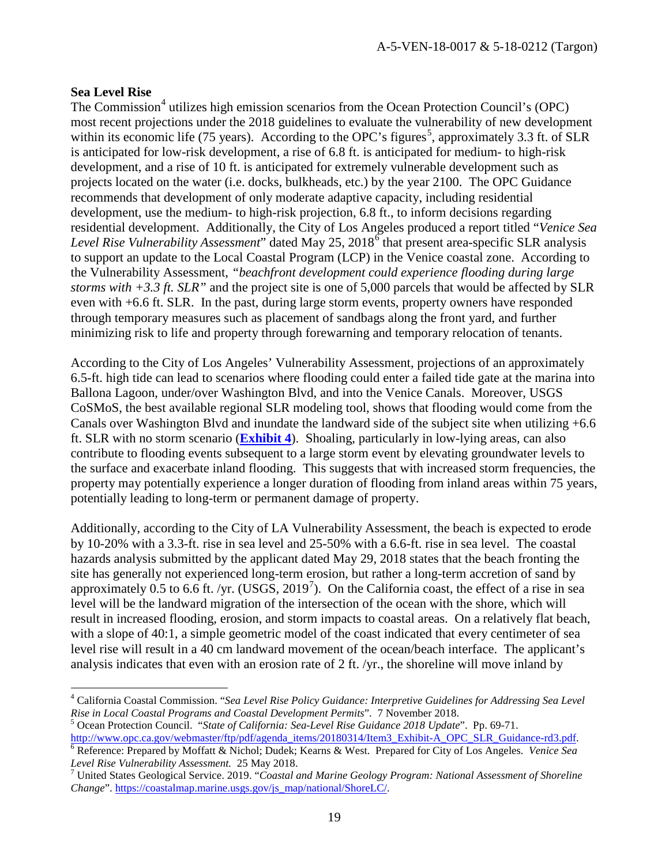#### **Sea Level Rise**

The Commission<sup>[4](#page-18-0)</sup> utilizes high emission scenarios from the Ocean Protection Council's (OPC) most recent projections under the 2018 guidelines to evaluate the vulnerability of new development within its economic life (7[5](#page-18-1) years). According to the OPC's figures<sup>5</sup>, approximately 3.3 ft. of SLR is anticipated for low-risk development, a rise of 6.8 ft. is anticipated for medium- to high-risk development, and a rise of 10 ft. is anticipated for extremely vulnerable development such as projects located on the water (i.e. docks, bulkheads, etc.) by the year 2100. The OPC Guidance recommends that development of only moderate adaptive capacity, including residential development, use the medium- to high-risk projection, 6.8 ft., to inform decisions regarding residential development. Additionally, the City of Los Angeles produced a report titled "*Venice Sea Level Rise Vulnerability Assessment*" dated May 25, 2018[6](#page-18-2) that present area-specific SLR analysis to support an update to the Local Coastal Program (LCP) in the Venice coastal zone. According to the Vulnerability Assessment, *"beachfront development could experience flooding during large storms with +3.3 ft. SLR"* and the project site is one of 5,000 parcels that would be affected by SLR even with +6.6 ft. SLR. In the past, during large storm events, property owners have responded through temporary measures such as placement of sandbags along the front yard, and further minimizing risk to life and property through forewarning and temporary relocation of tenants.

According to the City of Los Angeles' Vulnerability Assessment, projections of an approximately 6.5-ft. high tide can lead to scenarios where flooding could enter a failed tide gate at the marina into Ballona Lagoon, under/over Washington Blvd, and into the Venice Canals. Moreover, USGS CoSMoS, the best available regional SLR modeling tool, shows that flooding would come from the Canals over Washington Blvd and inundate the landward side of the subject site when utilizing +6.6 ft. SLR with no storm scenario (**[Exhibit 4](https://documents.coastal.ca.gov/reports/2019/3/w21a&b/w21a&b-3-2019-exhibits.pdf)**). Shoaling, particularly in low-lying areas, can also contribute to flooding events subsequent to a large storm event by elevating groundwater levels to the surface and exacerbate inland flooding. This suggests that with increased storm frequencies, the property may potentially experience a longer duration of flooding from inland areas within 75 years, potentially leading to long-term or permanent damage of property.

Additionally, according to the City of LA Vulnerability Assessment, the beach is expected to erode by 10-20% with a 3.3-ft. rise in sea level and 25-50% with a 6.6-ft. rise in sea level. The coastal hazards analysis submitted by the applicant dated May 29, 2018 states that the beach fronting the site has generally not experienced long-term erosion, but rather a long-term accretion of sand by approximately 0.5 to 6.6 ft. /yr.  $(USGS, 2019^7)$  $(USGS, 2019^7)$  $(USGS, 2019^7)$ . On the California coast, the effect of a rise in sea level will be the landward migration of the intersection of the ocean with the shore, which will result in increased flooding, erosion, and storm impacts to coastal areas. On a relatively flat beach, with a slope of 40:1, a simple geometric model of the coast indicated that every centimeter of sea level rise will result in a 40 cm landward movement of the ocean/beach interface. The applicant's analysis indicates that even with an erosion rate of 2 ft. /yr., the shoreline will move inland by

<span id="page-18-0"></span> $\overline{a}$ <sup>4</sup> California Coastal Commission. "*Sea Level Rise Policy Guidance: Interpretive Guidelines for Addressing Sea Level* 

<span id="page-18-1"></span>*Rise in Local Coastal Programs and Coastal Development Permits". 7 November 2018.*<br><sup>5</sup> Ocean Protection Council. "*State of California: Sea-Level Rise Guidance 2018 Update*". Pp. 69-71.<br>http://www.opc.ca.gov/webmaster/ftp

<span id="page-18-2"></span><sup>&</sup>lt;sup>[6](http://www.opc.ca.gov/webmaster/ftp/pdf/agenda_items/20180314/Item3_Exhibit-A_OPC_SLR_Guidance-rd3.pdf)</sup> Reference: Prepared by Moffatt & Nichol; Dudek; Kearns & West. Prepared for City of Los Angeles. *Venice Sea* 

<span id="page-18-3"></span>*Level Rise Vulnerability Assessment.* 25 May 2018.<br><sup>7</sup> United States Geological Service. 2019. "*Coastal and Marine Geology Program: National Assessment of Shoreline Change*". [https://coastalmap.marine.usgs.gov/js\\_map/national/ShoreLC/.](https://coastalmap.marine.usgs.gov/js_map/national/ShoreLC/)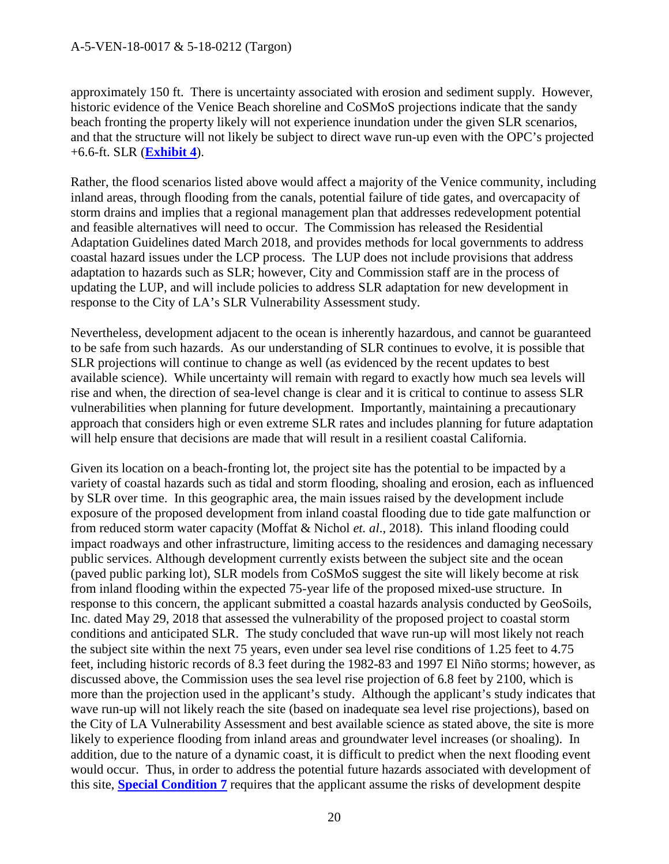approximately 150 ft. There is uncertainty associated with erosion and sediment supply. However, historic evidence of the Venice Beach shoreline and CoSMoS projections indicate that the sandy beach fronting the property likely will not experience inundation under the given SLR scenarios, and that the structure will not likely be subject to direct wave run-up even with the OPC's projected +6.6-ft. SLR (**[Exhibit 4](https://documents.coastal.ca.gov/reports/2019/3/w21a&b/w21a&b-3-2019-exhibits.pdf)**).

Rather, the flood scenarios listed above would affect a majority of the Venice community, including inland areas, through flooding from the canals, potential failure of tide gates, and overcapacity of storm drains and implies that a regional management plan that addresses redevelopment potential and feasible alternatives will need to occur. The Commission has released the Residential Adaptation Guidelines dated March 2018, and provides methods for local governments to address coastal hazard issues under the LCP process. The LUP does not include provisions that address adaptation to hazards such as SLR; however, City and Commission staff are in the process of updating the LUP, and will include policies to address SLR adaptation for new development in response to the City of LA's SLR Vulnerability Assessment study.

Nevertheless, development adjacent to the ocean is inherently hazardous, and cannot be guaranteed to be safe from such hazards. As our understanding of SLR continues to evolve, it is possible that SLR projections will continue to change as well (as evidenced by the recent updates to best available science). While uncertainty will remain with regard to exactly how much sea levels will rise and when, the direction of sea-level change is clear and it is critical to continue to assess SLR vulnerabilities when planning for future development. Importantly, maintaining a precautionary approach that considers high or even extreme SLR rates and includes planning for future adaptation will help ensure that decisions are made that will result in a resilient coastal California.

Given its location on a beach-fronting lot, the project site has the potential to be impacted by a variety of coastal hazards such as tidal and storm flooding, shoaling and erosion, each as influenced by SLR over time. In this geographic area, the main issues raised by the development include exposure of the proposed development from inland coastal flooding due to tide gate malfunction or from reduced storm water capacity (Moffat & Nichol *et. al*., 2018). This inland flooding could impact roadways and other infrastructure, limiting access to the residences and damaging necessary public services. Although development currently exists between the subject site and the ocean (paved public parking lot), SLR models from CoSMoS suggest the site will likely become at risk from inland flooding within the expected 75-year life of the proposed mixed-use structure. In response to this concern, the applicant submitted a coastal hazards analysis conducted by GeoSoils, Inc. dated May 29, 2018 that assessed the vulnerability of the proposed project to coastal storm conditions and anticipated SLR. The study concluded that wave run-up will most likely not reach the subject site within the next 75 years, even under sea level rise conditions of 1.25 feet to 4.75 feet, including historic records of 8.3 feet during the 1982-83 and 1997 El Niño storms; however, as discussed above, the Commission uses the sea level rise projection of 6.8 feet by 2100, which is more than the projection used in the applicant's study. Although the applicant's study indicates that wave run-up will not likely reach the site (based on inadequate sea level rise projections), based on the City of LA Vulnerability Assessment and best available science as stated above, the site is more likely to experience flooding from inland areas and groundwater level increases (or shoaling). In addition, due to the nature of a dynamic coast, it is difficult to predict when the next flooding event would occur. Thus, in order to address the potential future hazards associated with development of this site, **[Special Condition 7](#page-7-2)** requires that the applicant assume the risks of development despite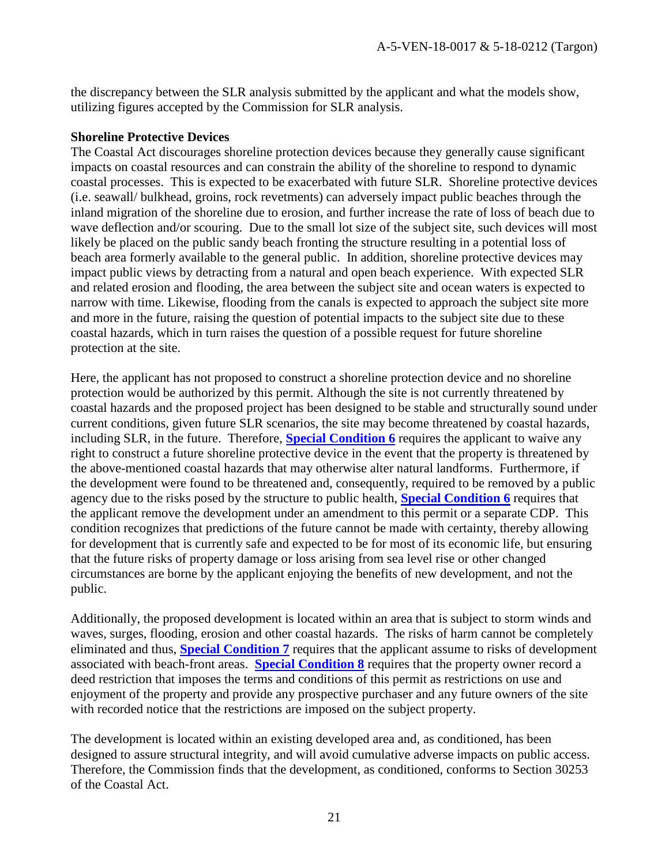the discrepancy between the SLR analysis submitted by the applicant and what the models show, utilizing figures accepted by the Commission for SLR analysis.

#### **Shoreline Protective Devices**

The Coastal Act discourages shoreline protection devices because they generally cause significant impacts on coastal resources and can constrain the ability of the shoreline to respond to dynamic coastal processes. This is expected to be exacerbated with future SLR. Shoreline protective devices (i.e. seawall/ bulkhead, groins, rock revetments) can adversely impact public beaches through the inland migration of the shoreline due to erosion, and further increase the rate of loss of beach due to wave deflection and/or scouring. Due to the small lot size of the subject site, such devices will most likely be placed on the public sandy beach fronting the structure resulting in a potential loss of beach area formerly available to the general public. In addition, shoreline protective devices may impact public views by detracting from a natural and open beach experience. With expected SLR and related erosion and flooding, the area between the subject site and ocean waters is expected to narrow with time. Likewise, flooding from the canals is expected to approach the subject site more and more in the future, raising the question of potential impacts to the subject site due to these coastal hazards, which in turn raises the question of a possible request for future shoreline protection at the site.

Here, the applicant has not proposed to construct a shoreline protection device and no shoreline protection would be authorized by this permit. Although the site is not currently threatened by coastal hazards and the proposed project has been designed to be stable and structurally sound under current conditions, given future SLR scenarios, the site may become threatened by coastal hazards, including SLR, in the future. Therefore, **[Special Condition 6](#page-6-0)** requires the applicant to waive any right to construct a future shoreline protective device in the event that the property is threatened by the above-mentioned coastal hazards that may otherwise alter natural landforms. Furthermore, if the development were found to be threatened and, consequently, required to be removed by a public agency due to the risks posed by the structure to public health, **[Special Condition 6](#page-6-0)** requires that the applicant remove the development under an amendment to this permit or a separate CDP. This condition recognizes that predictions of the future cannot be made with certainty, thereby allowing for development that is currently safe and expected to be for most of its economic life, but ensuring that the future risks of property damage or loss arising from sea level rise or other changed circumstances are borne by the applicant enjoying the benefits of new development, and not the public.

Additionally, the proposed development is located within an area that is subject to storm winds and waves, surges, flooding, erosion and other coastal hazards. The risks of harm cannot be completely eliminated and thus, **[Special Condition 7](#page-7-2)** requires that the applicant assume to risks of development associated with beach-front areas. **[Special Condition](#page-7-3) 8** requires that the property owner record a deed restriction that imposes the terms and conditions of this permit as restrictions on use and enjoyment of the property and provide any prospective purchaser and any future owners of the site with recorded notice that the restrictions are imposed on the subject property.

The development is located within an existing developed area and, as conditioned, has been designed to assure structural integrity, and will avoid cumulative adverse impacts on public access. Therefore, the Commission finds that the development, as conditioned, conforms to Section 30253 of the Coastal Act.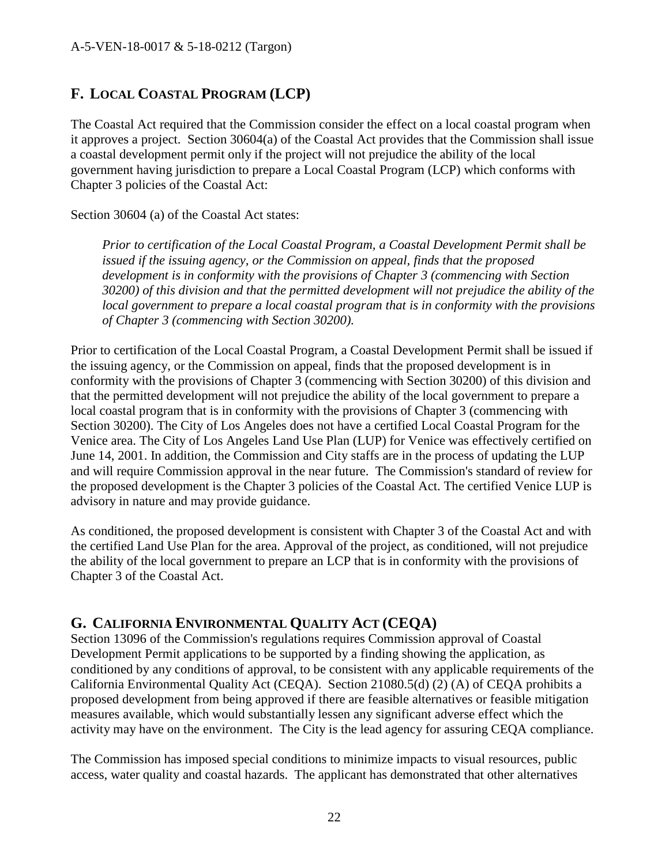### <span id="page-21-0"></span>**F. LOCAL COASTAL PROGRAM (LCP)**

The Coastal Act required that the Commission consider the effect on a local coastal program when it approves a project. Section 30604(a) of the Coastal Act provides that the Commission shall issue a coastal development permit only if the project will not prejudice the ability of the local government having jurisdiction to prepare a Local Coastal Program (LCP) which conforms with Chapter 3 policies of the Coastal Act:

Section 30604 (a) of the Coastal Act states:

*Prior to certification of the Local Coastal Program, a Coastal Development Permit shall be issued if the issuing agency, or the Commission on appeal, finds that the proposed development is in conformity with the provisions of Chapter 3 (commencing with Section 30200) of this division and that the permitted development will not prejudice the ability of the local government to prepare a local coastal program that is in conformity with the provisions of Chapter 3 (commencing with Section 30200).*

Prior to certification of the Local Coastal Program, a Coastal Development Permit shall be issued if the issuing agency, or the Commission on appeal, finds that the proposed development is in conformity with the provisions of Chapter 3 (commencing with Section 30200) of this division and that the permitted development will not prejudice the ability of the local government to prepare a local coastal program that is in conformity with the provisions of Chapter 3 (commencing with Section 30200). The City of Los Angeles does not have a certified Local Coastal Program for the Venice area. The City of Los Angeles Land Use Plan (LUP) for Venice was effectively certified on June 14, 2001. In addition, the Commission and City staffs are in the process of updating the LUP and will require Commission approval in the near future. The Commission's standard of review for the proposed development is the Chapter 3 policies of the Coastal Act. The certified Venice LUP is advisory in nature and may provide guidance.

As conditioned, the proposed development is consistent with Chapter 3 of the Coastal Act and with the certified Land Use Plan for the area. Approval of the project, as conditioned, will not prejudice the ability of the local government to prepare an LCP that is in conformity with the provisions of Chapter 3 of the Coastal Act.

### <span id="page-21-1"></span>**G. CALIFORNIA ENVIRONMENTAL QUALITY ACT (CEQA)**

Section 13096 of the Commission's regulations requires Commission approval of Coastal Development Permit applications to be supported by a finding showing the application, as conditioned by any conditions of approval, to be consistent with any applicable requirements of the California Environmental Quality Act (CEQA). Section 21080.5(d) (2) (A) of CEQA prohibits a proposed development from being approved if there are feasible alternatives or feasible mitigation measures available, which would substantially lessen any significant adverse effect which the activity may have on the environment. The City is the lead agency for assuring CEQA compliance.

The Commission has imposed special conditions to minimize impacts to visual resources, public access, water quality and coastal hazards. The applicant has demonstrated that other alternatives